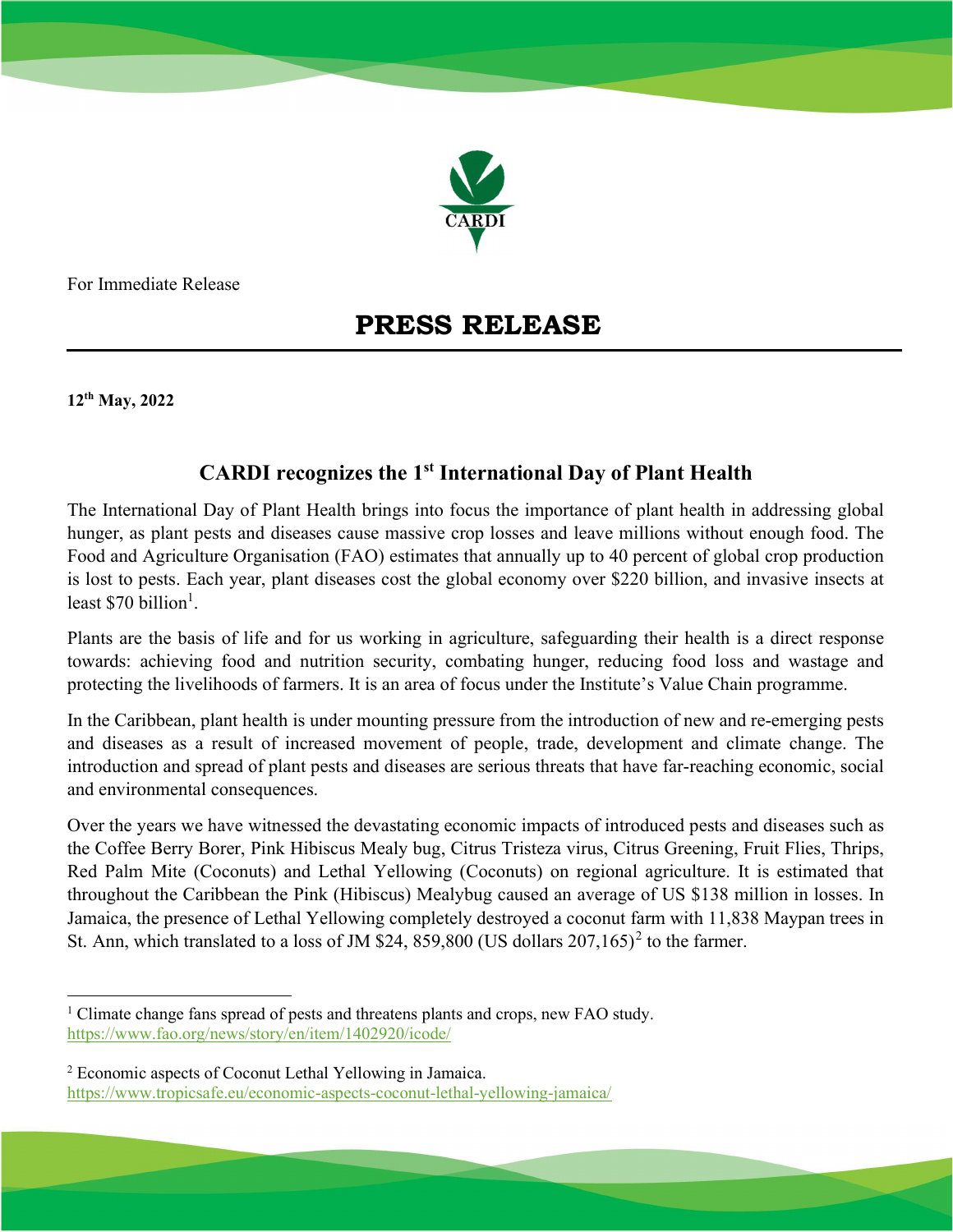

For Immediate Release

## PRESS RELEASE

12th May, 2022

## CARDI recognizes the 1<sup>st</sup> International Day of Plant Health

The International Day of Plant Health brings into focus the importance of plant health in addressing global hunger, as plant pests and diseases cause massive crop losses and leave millions without enough food. The Food and Agriculture Organisation (FAO) estimates that annually up to 40 percent of global crop production is lost to pests. Each year, plant diseases cost the global economy over \$220 billion, and invasive insects at least \$70 billion<sup>1</sup>.

Plants are the basis of life and for us working in agriculture, safeguarding their health is a direct response towards: achieving food and nutrition security, combating hunger, reducing food loss and wastage and protecting the livelihoods of farmers. It is an area of focus under the Institute's Value Chain programme.

In the Caribbean, plant health is under mounting pressure from the introduction of new and re-emerging pests and diseases as a result of increased movement of people, trade, development and climate change. The introduction and spread of plant pests and diseases are serious threats that have far-reaching economic, social and environmental consequences.

Over the years we have witnessed the devastating economic impacts of introduced pests and diseases such as the Coffee Berry Borer, Pink Hibiscus Mealy bug, Citrus Tristeza virus, Citrus Greening, Fruit Flies, Thrips, Red Palm Mite (Coconuts) and Lethal Yellowing (Coconuts) on regional agriculture. It is estimated that throughout the Caribbean the Pink (Hibiscus) Mealybug caused an average of US \$138 million in losses. In Jamaica, the presence of Lethal Yellowing completely destroyed a coconut farm with 11,838 Maypan trees in St. Ann, which translated to a loss of JM \$24, 859,800 (US dollars  $207,165$ )<sup>2</sup> to the farmer.

<sup>&</sup>lt;sup>1</sup> Climate change fans spread of pests and threatens plants and crops, new FAO study. https://www.fao.org/news/story/en/item/1402920/icode/

<sup>&</sup>lt;sup>2</sup> Economic aspects of Coconut Lethal Yellowing in Jamaica. https://www.tropicsafe.eu/economic-aspects-coconut-lethal-yellowing-jamaica/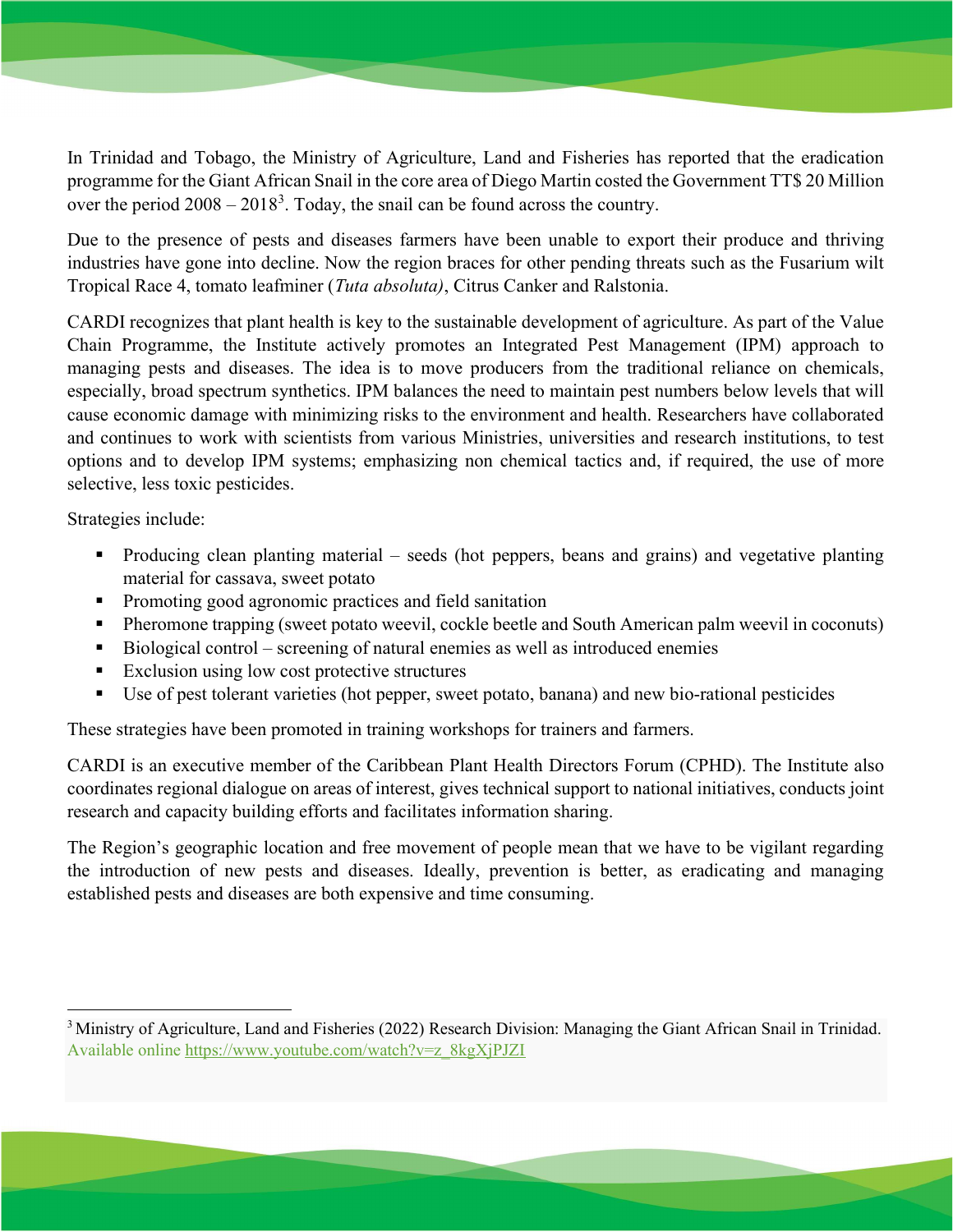In Trinidad and Tobago, the Ministry of Agriculture, Land and Fisheries has reported that the eradication programme for the Giant African Snail in the core area of Diego Martin costed the Government TT\$ 20 Million over the period  $2008 - 2018<sup>3</sup>$ . Today, the snail can be found across the country.

Due to the presence of pests and diseases farmers have been unable to export their produce and thriving industries have gone into decline. Now the region braces for other pending threats such as the Fusarium wilt Tropical Race 4, tomato leafminer (Tuta absoluta), Citrus Canker and Ralstonia.

CARDI recognizes that plant health is key to the sustainable development of agriculture. As part of the Value Chain Programme, the Institute actively promotes an Integrated Pest Management (IPM) approach to managing pests and diseases. The idea is to move producers from the traditional reliance on chemicals, especially, broad spectrum synthetics. IPM balances the need to maintain pest numbers below levels that will cause economic damage with minimizing risks to the environment and health. Researchers have collaborated and continues to work with scientists from various Ministries, universities and research institutions, to test options and to develop IPM systems; emphasizing non chemical tactics and, if required, the use of more selective, less toxic pesticides.

Strategies include:

- Producing clean planting material seeds (hot peppers, beans and grains) and vegetative planting material for cassava, sweet potato
- **Promoting good agronomic practices and field sanitation**
- Pheromone trapping (sweet potato weevil, cockle beetle and South American palm weevil in coconuts)
- $\blacksquare$  Biological control screening of natural enemies as well as introduced enemies
- Exclusion using low cost protective structures
- Use of pest tolerant varieties (hot pepper, sweet potato, banana) and new bio-rational pesticides

These strategies have been promoted in training workshops for trainers and farmers.

CARDI is an executive member of the Caribbean Plant Health Directors Forum (CPHD). The Institute also coordinates regional dialogue on areas of interest, gives technical support to national initiatives, conducts joint research and capacity building efforts and facilitates information sharing.

The Region's geographic location and free movement of people mean that we have to be vigilant regarding the introduction of new pests and diseases. Ideally, prevention is better, as eradicating and managing established pests and diseases are both expensive and time consuming.

 $3$ Ministry of Agriculture, Land and Fisheries (2022) Research Division: Managing the Giant African Snail in Trinidad. Available online https://www.youtube.com/watch?v=z\_8kgXjPJZI